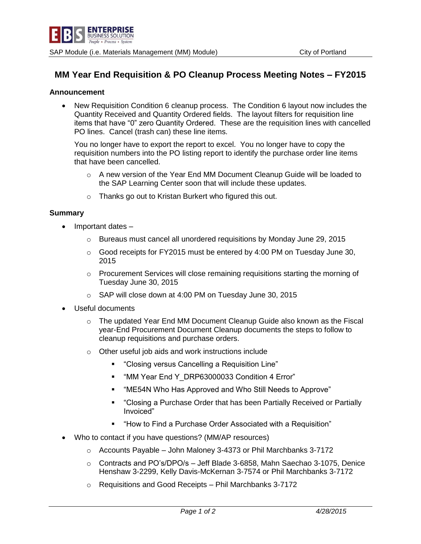

## **MM Year End Requisition & PO Cleanup Process Meeting Notes – FY2015**

## **Announcement**

 New Requisition Condition 6 cleanup process. The Condition 6 layout now includes the Quantity Received and Quantity Ordered fields. The layout filters for requisition line items that have "0" zero Quantity Ordered. These are the requisition lines with cancelled PO lines. Cancel (trash can) these line items.

You no longer have to export the report to excel. You no longer have to copy the requisition numbers into the PO listing report to identify the purchase order line items that have been cancelled.

- $\circ$  A new version of the Year End MM Document Cleanup Guide will be loaded to the SAP Learning Center soon that will include these updates.
- o Thanks go out to Kristan Burkert who figured this out.

## **Summary**

- Important dates
	- $\circ$  Bureaus must cancel all unordered requisitions by Monday June 29, 2015
	- $\circ$  Good receipts for FY2015 must be entered by 4:00 PM on Tuesday June 30, 2015
	- $\circ$  Procurement Services will close remaining requisitions starting the morning of Tuesday June 30, 2015
	- o SAP will close down at 4:00 PM on Tuesday June 30, 2015
- Useful documents
	- $\circ$  The updated Year End MM Document Cleanup Guide also known as the Fiscal year-End Procurement Document Cleanup documents the steps to follow to cleanup requisitions and purchase orders.
	- o Other useful job aids and work instructions include
		- "Closing versus Cancelling a Requisition Line"
		- " "MM Year End Y\_DRP63000033 Condition 4 Error"
		- "ME54N Who Has Approved and Who Still Needs to Approve"
		- "Closing a Purchase Order that has been Partially Received or Partially Invoiced"
		- "How to Find a Purchase Order Associated with a Requisition"
- Who to contact if you have questions? (MM/AP resources)
	- $\circ$  Accounts Payable John Maloney 3-4373 or Phil Marchbanks 3-7172
	- o Contracts and PO's/DPO/s Jeff Blade 3-6858, Mahn Saechao 3-1075, Denice Henshaw 3-2299, Kelly Davis-McKernan 3-7574 or Phil Marchbanks 3-7172
	- o Requisitions and Good Receipts Phil Marchbanks 3-7172